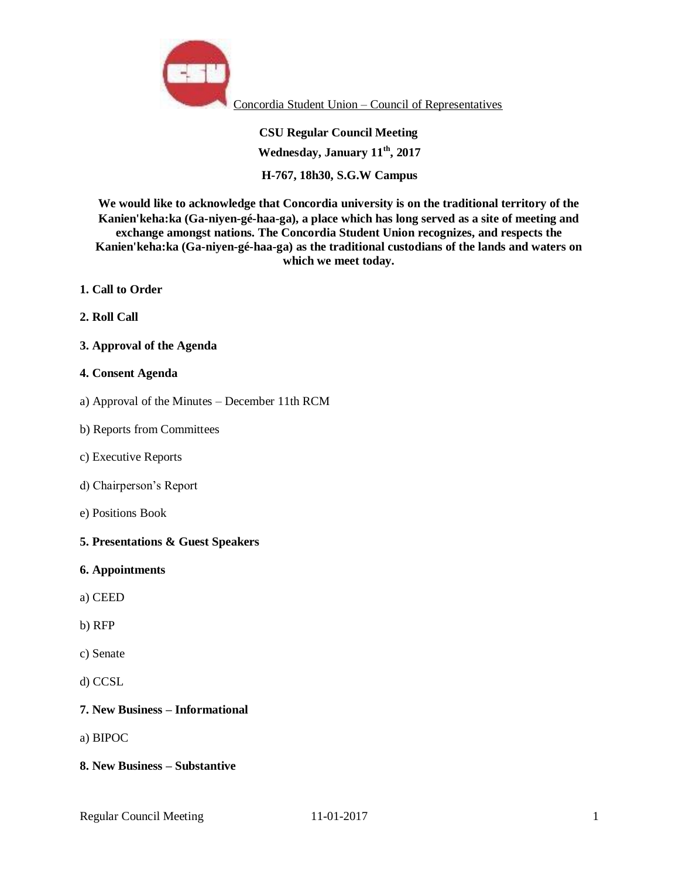

Concordia Student Union – Council of Representatives

**CSU Regular Council Meeting Wednesday, January 11th, 2017 H-767, 18h30, S.G.W Campus**

**We would like to acknowledge that Concordia university is on the traditional territory of the Kanien'keha:ka (Ga-niyen-gé-haa-ga), a place which has long served as a site of meeting and exchange amongst nations. The Concordia Student Union recognizes, and respects the Kanien'keha:ka (Ga-niyen-gé-haa-ga) as the traditional custodians of the lands and waters on which we meet today.**

- **1. Call to Order**
- **2. Roll Call**

#### **3. Approval of the Agenda**

#### **4. Consent Agenda**

- a) Approval of the Minutes December 11th RCM
- b) Reports from Committees
- c) Executive Reports
- d) Chairperson's Report
- e) Positions Book
- **5. Presentations & Guest Speakers**
- **6. Appointments**
- a) CEED
- b) RFP
- c) Senate
- d) CCSL

#### **7. New Business – Informational**

a) BIPOC

#### **8. New Business – Substantive**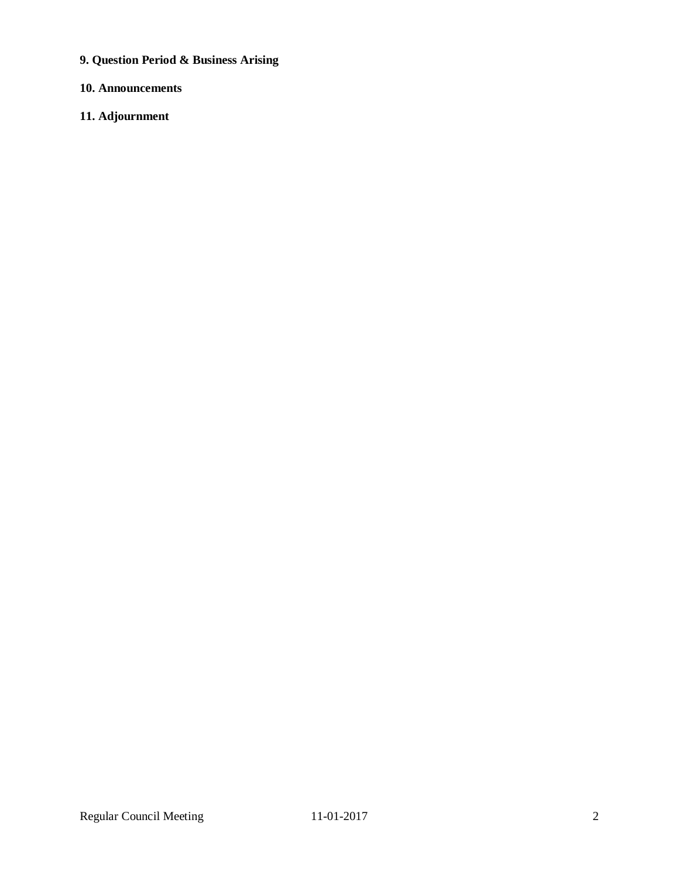**9. Question Period & Business Arising**

# **10. Announcements**

# **11. Adjournment**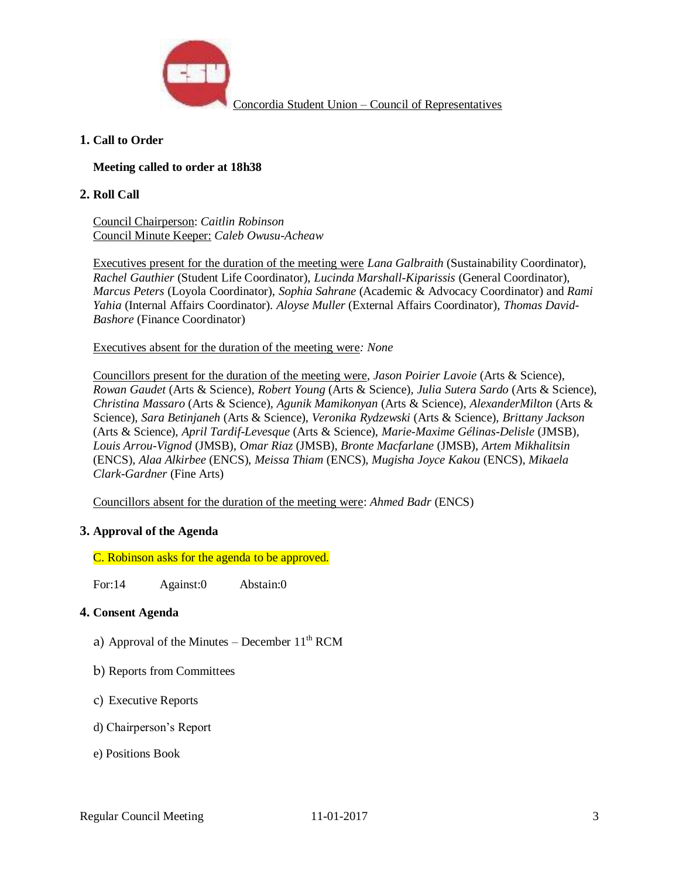

# **1. Call to Order**

# **Meeting called to order at 18h38**

#### **2. Roll Call**

Council Chairperson: *Caitlin Robinson* Council Minute Keeper: *Caleb Owusu-Acheaw*

Executives present for the duration of the meeting were *Lana Galbraith* (Sustainability Coordinator), *Rachel Gauthier* (Student Life Coordinator), *Lucinda Marshall-Kiparissis* (General Coordinator), *Marcus Peters* (Loyola Coordinator), *Sophia Sahrane* (Academic & Advocacy Coordinator) and *Rami Yahia* (Internal Affairs Coordinator). *Aloyse Muller* (External Affairs Coordinator)*, Thomas David-Bashore* (Finance Coordinator)

Executives absent for the duration of the meeting were*: None*

Councillors present for the duration of the meeting were, *Jason Poirier Lavoie* (Arts & Science), *Rowan Gaudet* (Arts & Science)*, Robert Young* (Arts & Science)*, Julia Sutera Sardo* (Arts & Science), *Christina Massaro* (Arts & Science), *Agunik Mamikonyan* (Arts & Science), *AlexanderMilton* (Arts & Science), *Sara Betinjaneh* (Arts & Science), *Veronika Rydzewski* (Arts & Science), *Brittany Jackson*  (Arts & Science), *April Tardif-Levesque* (Arts & Science), *Marie-Maxime Gélinas-Delisle* (JMSB)*, Louis Arrou-Vignod* (JMSB)*, Omar Riaz* (JMSB), *Bronte Macfarlane* (JMSB), *Artem Mikhalitsin*  (ENCS), *Alaa Alkirbee* (ENCS), *Meissa Thiam* (ENCS), *Mugisha Joyce Kakou* (ENCS), *Mikaela Clark-Gardner* (Fine Arts)

Councillors absent for the duration of the meeting were: *Ahmed Badr* (ENCS)

### **3. Approval of the Agenda**

C. Robinson asks for the agenda to be approved.

For:14 Against:0 Abstain:0

### **4. Consent Agenda**

- a) Approval of the Minutes December  $11<sup>th</sup> RCM$
- b) Reports from Committees
- c) Executive Reports
- d) Chairperson's Report
- e) Positions Book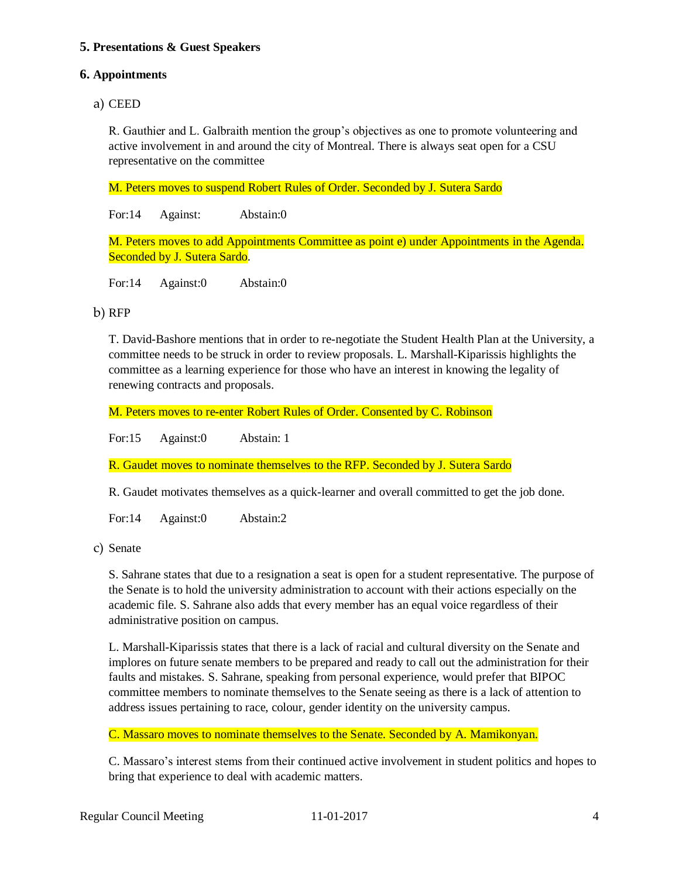# **5. Presentations & Guest Speakers**

#### **6. Appointments**

# a) CEED

R. Gauthier and L. Galbraith mention the group's objectives as one to promote volunteering and active involvement in and around the city of Montreal. There is always seat open for a CSU representative on the committee

M. Peters moves to suspend Robert Rules of Order. Seconded by J. Sutera Sardo

For:14 Against: Abstain:0

M. Peters moves to add Appointments Committee as point e) under Appointments in the Agenda. Seconded by J. Sutera Sardo.

For:14 Against:0 Abstain:0

### b) RFP

T. David-Bashore mentions that in order to re-negotiate the Student Health Plan at the University, a committee needs to be struck in order to review proposals. L. Marshall-Kiparissis highlights the committee as a learning experience for those who have an interest in knowing the legality of renewing contracts and proposals.

M. Peters moves to re-enter Robert Rules of Order. Consented by C. Robinson

For:15 Against:0 Abstain: 1

R. Gaudet moves to nominate themselves to the RFP. Seconded by J. Sutera Sardo

R. Gaudet motivates themselves as a quick-learner and overall committed to get the job done.

For:14 Against:0 Abstain:2

c) Senate

S. Sahrane states that due to a resignation a seat is open for a student representative. The purpose of the Senate is to hold the university administration to account with their actions especially on the academic file. S. Sahrane also adds that every member has an equal voice regardless of their administrative position on campus.

L. Marshall-Kiparissis states that there is a lack of racial and cultural diversity on the Senate and implores on future senate members to be prepared and ready to call out the administration for their faults and mistakes. S. Sahrane, speaking from personal experience, would prefer that BIPOC committee members to nominate themselves to the Senate seeing as there is a lack of attention to address issues pertaining to race, colour, gender identity on the university campus.

C. Massaro moves to nominate themselves to the Senate. Seconded by A. Mamikonyan.

C. Massaro's interest stems from their continued active involvement in student politics and hopes to bring that experience to deal with academic matters.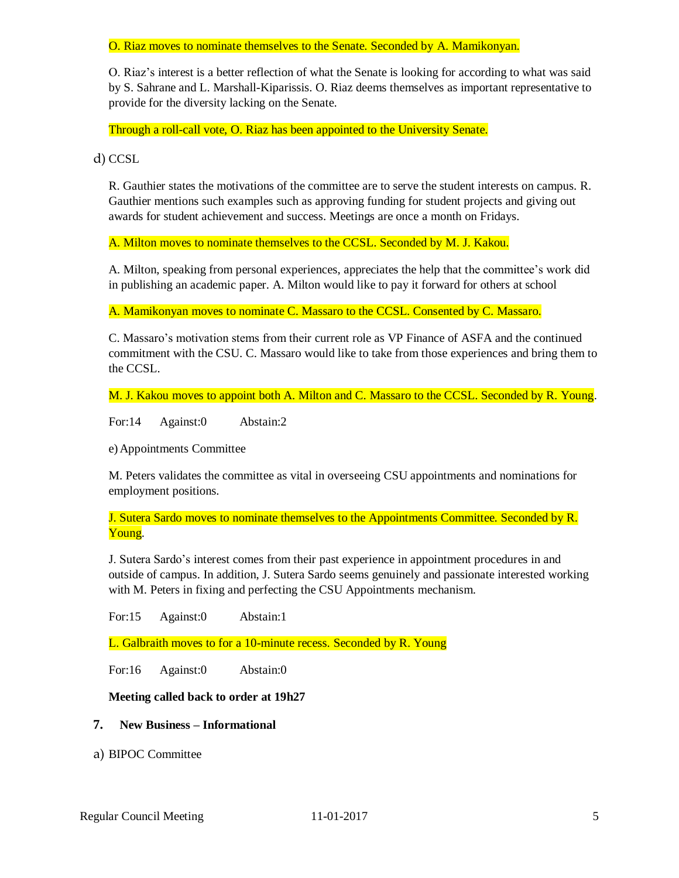O. Riaz moves to nominate themselves to the Senate. Seconded by A. Mamikonyan.

O. Riaz's interest is a better reflection of what the Senate is looking for according to what was said by S. Sahrane and L. Marshall-Kiparissis. O. Riaz deems themselves as important representative to provide for the diversity lacking on the Senate.

Through a roll-call vote, O. Riaz has been appointed to the University Senate.

d) CCSL

R. Gauthier states the motivations of the committee are to serve the student interests on campus. R. Gauthier mentions such examples such as approving funding for student projects and giving out awards for student achievement and success. Meetings are once a month on Fridays.

A. Milton moves to nominate themselves to the CCSL. Seconded by M. J. Kakou.

A. Milton, speaking from personal experiences, appreciates the help that the committee's work did in publishing an academic paper. A. Milton would like to pay it forward for others at school

A. Mamikonyan moves to nominate C. Massaro to the CCSL. Consented by C. Massaro.

C. Massaro's motivation stems from their current role as VP Finance of ASFA and the continued commitment with the CSU. C. Massaro would like to take from those experiences and bring them to the CCSL.

M. J. Kakou moves to appoint both A. Milton and C. Massaro to the CCSL. Seconded by R. Young.

For:14 Against:0 Abstain:2

e) Appointments Committee

M. Peters validates the committee as vital in overseeing CSU appointments and nominations for employment positions.

J. Sutera Sardo moves to nominate themselves to the Appointments Committee. Seconded by R. Young.

J. Sutera Sardo's interest comes from their past experience in appointment procedures in and outside of campus. In addition, J. Sutera Sardo seems genuinely and passionate interested working with M. Peters in fixing and perfecting the CSU Appointments mechanism.

For:15 Against:0 Abstain:1

L. Galbraith moves to for a 10-minute recess. Seconded by R. Young

For:16 Against:0 Abstain:0

#### **Meeting called back to order at 19h27**

#### **7. New Business – Informational**

a) BIPOC Committee